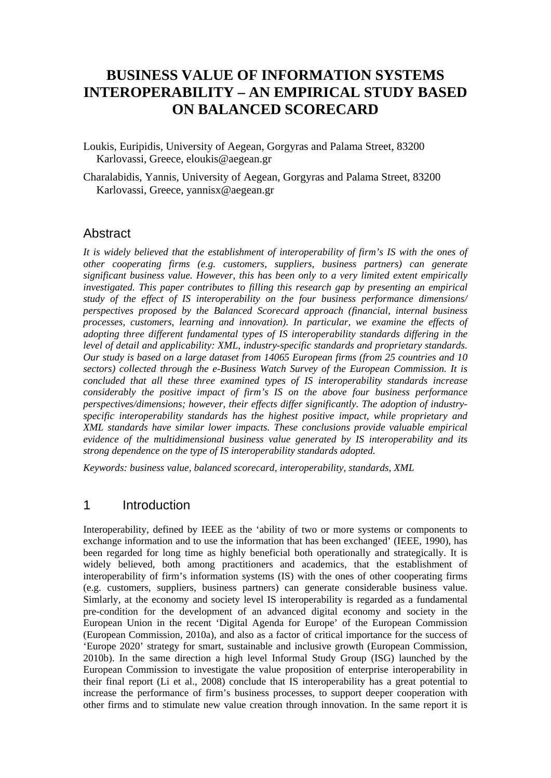# **BUSINESS VALUE OF INFORMATION SYSTEMS INTEROPERABILITY – AN EMPIRICAL STUDY BASED ON BALANCED SCORECARD**

- Loukis, Euripidis, University of Aegean, Gorgyras and Palama Street, 83200 Karlovassi, Greece, [eloukis@aegean.gr](mailto:eloukis@aegean.gr)
- Charalabidis, Yannis, University of Aegean, Gorgyras and Palama Street, 83200 Karlovassi, Greece, yannisx@aegean.gr

#### Abstract

*It is widely believed that the establishment of interoperability of firm's IS with the ones of other cooperating firms (e.g. customers, suppliers, business partners) can generate significant business value. However, this has been only to a very limited extent empirically investigated. This paper contributes to filling this research gap by presenting an empirical study of the effect of IS interoperability on the four business performance dimensions/ perspectives proposed by the Balanced Scorecard approach (financial, internal business processes, customers, learning and innovation). In particular, we examine the effects of adopting three different fundamental types of IS interoperability standards differing in the level of detail and applicability: XML, industry-specific standards and proprietary standards. Our study is based on a large dataset from 14065 European firms (from 25 countries and 10 sectors) collected through the e-Business Watch Survey of the European Commission. It is concluded that all these three examined types of IS interoperability standards increase considerably the positive impact of firm's IS on the above four business performance perspectives/dimensions; however, their effects differ significantly. The adoption of industryspecific interoperability standards has the highest positive impact, while proprietary and XML standards have similar lower impacts. These conclusions provide valuable empirical evidence of the multidimensional business value generated by IS interoperability and its strong dependence on the type of IS interoperability standards adopted.* 

*Keywords: business value, balanced scorecard, interoperability, standards, XML* 

#### 1 Introduction

Interoperability, defined by IEEE as the 'ability of two or more systems or components to exchange information and to use the information that has been exchanged' (IEEE, 1990), has been regarded for long time as highly beneficial both operationally and strategically. It is widely believed, both among practitioners and academics, that the establishment of interoperability of firm's information systems (IS) with the ones of other cooperating firms (e.g. customers, suppliers, business partners) can generate considerable business value. Simlarly, at the economy and society level IS interoperability is regarded as a fundamental pre-condition for the development of an advanced digital economy and society in the European Union in the recent 'Digital Agenda for Europe' of the European Commission (European Commission, 2010a), and also as a factor of critical importance for the success of 'Europe 2020' strategy for smart, sustainable and inclusive growth (European Commission, 2010b). In the same direction a high level Informal Study Group (ISG) launched by the European Commission to investigate the value proposition of enterprise interoperability in their final report (Li et al., 2008) conclude that IS interoperability has a great potential to increase the performance of firm's business processes, to support deeper cooperation with other firms and to stimulate new value creation through innovation. In the same report it is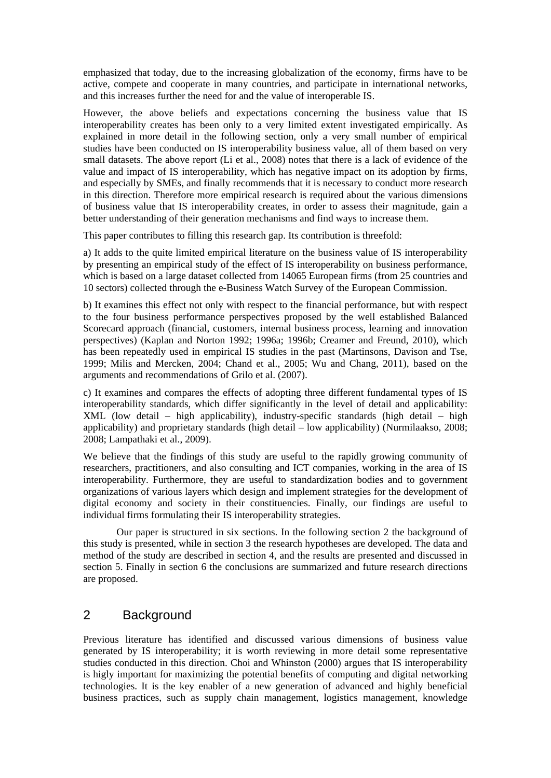emphasized that today, due to the increasing globalization of the economy, firms have to be active, compete and cooperate in many countries, and participate in international networks, and this increases further the need for and the value of interoperable IS.

However, the above beliefs and expectations concerning the business value that IS interoperability creates has been only to a very limited extent investigated empirically. As explained in more detail in the following section, only a very small number of empirical studies have been conducted on IS interoperability business value, all of them based on very small datasets. The above report (Li et al., 2008) notes that there is a lack of evidence of the value and impact of IS interoperability, which has negative impact on its adoption by firms, and especially by SMEs, and finally recommends that it is necessary to conduct more research in this direction. Therefore more empirical research is required about the various dimensions of business value that IS interoperability creates, in order to assess their magnitude, gain a better understanding of their generation mechanisms and find ways to increase them.

This paper contributes to filling this research gap. Its contribution is threefold:

a) It adds to the quite limited empirical literature on the business value of IS interoperability by presenting an empirical study of the effect of IS interoperability on business performance, which is based on a large dataset collected from 14065 European firms (from 25 countries and 10 sectors) collected through the e-Business Watch Survey of the European Commission.

b) It examines this effect not only with respect to the financial performance, but with respect to the four business performance perspectives proposed by the well established Balanced Scorecard approach (financial, customers, internal business process, learning and innovation perspectives) (Kaplan and Norton 1992; 1996a; 1996b; Creamer and Freund, 2010), which has been repeatedly used in empirical IS studies in the past (Martinsons, Davison and Tse, 1999; Milis and Mercken, 2004; Chand et al., 2005; Wu and Chang, 2011), based on the arguments and recommendations of Grilo et al. (2007).

c) It examines and compares the effects of adopting three different fundamental types of IS interoperability standards, which differ significantly in the level of detail and applicability: XML (low detail – high applicability), industry-specific standards (high detail – high applicability) and proprietary standards (high detail – low applicability) (Nurmilaakso, 2008; 2008; Lampathaki et al., 2009).

We believe that the findings of this study are useful to the rapidly growing community of researchers, practitioners, and also consulting and ICT companies, working in the area of IS interoperability. Furthermore, they are useful to standardization bodies and to government organizations of various layers which design and implement strategies for the development of digital economy and society in their constituencies. Finally, our findings are useful to individual firms formulating their IS interoperability strategies.

 Our paper is structured in six sections. In the following section 2 the background of this study is presented, while in section 3 the research hypotheses are developed. The data and method of the study are described in section 4, and the results are presented and discussed in section 5. Finally in section 6 the conclusions are summarized and future research directions are proposed.

# 2 Background

Previous literature has identified and discussed various dimensions of business value generated by IS interoperability; it is worth reviewing in more detail some representative studies conducted in this direction. Choi and Whinston (2000) argues that IS interoperability is higly important for maximizing the potential benefits of computing and digital networking technologies. It is the key enabler of a new generation of advanced and highly beneficial business practices, such as supply chain management, logistics management, knowledge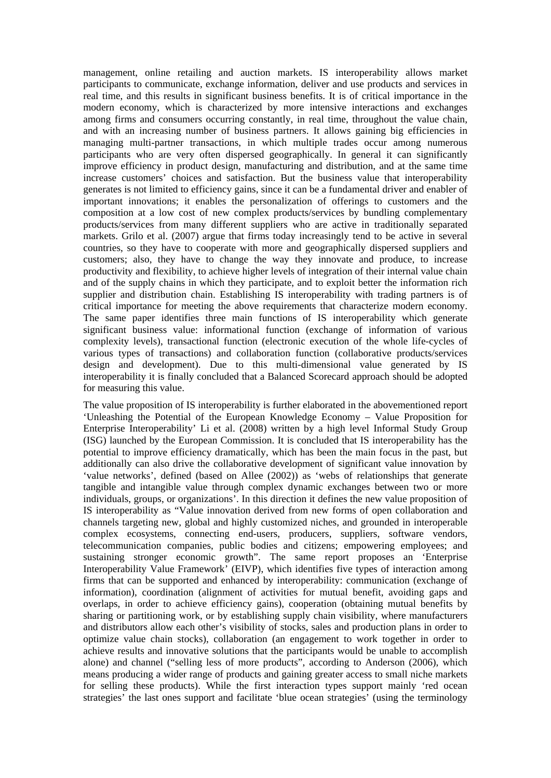management, online retailing and auction markets. IS interoperability allows market participants to communicate, exchange information, deliver and use products and services in real time, and this results in significant business benefits. It is of critical importance in the modern economy, which is characterized by more intensive interactions and exchanges among firms and consumers occurring constantly, in real time, throughout the value chain, and with an increasing number of business partners. It allows gaining big efficiencies in managing multi-partner transactions, in which multiple trades occur among numerous participants who are very often dispersed geographically. In general it can significantly improve efficiency in product design, manufacturing and distribution, and at the same time increase customers' choices and satisfaction. But the business value that interoperability generates is not limited to efficiency gains, since it can be a fundamental driver and enabler of important innovations; it enables the personalization of offerings to customers and the composition at a low cost of new complex products/services by bundling complementary products/services from many different suppliers who are active in traditionally separated markets. Grilo et al. (2007) argue that firms today increasingly tend to be active in several countries, so they have to cooperate with more and geographically dispersed suppliers and customers; also, they have to change the way they innovate and produce, to increase productivity and flexibility, to achieve higher levels of integration of their internal value chain and of the supply chains in which they participate, and to exploit better the information rich supplier and distribution chain. Establishing IS interoperability with trading partners is of critical importance for meeting the above requirements that characterize modern economy. The same paper identifies three main functions of IS interoperability which generate significant business value: informational function (exchange of information of various complexity levels), transactional function (electronic execution of the whole life-cycles of various types of transactions) and collaboration function (collaborative products/services design and development). Due to this multi-dimensional value generated by IS interoperability it is finally concluded that a Balanced Scorecard approach should be adopted for measuring this value.

The value proposition of IS interoperability is further elaborated in the abovementioned report 'Unleashing the Potential of the European Knowledge Economy – Value Proposition for Enterprise Interoperability' Li et al. (2008) written by a high level Informal Study Group (ISG) launched by the European Commission. It is concluded that IS interoperability has the potential to improve efficiency dramatically, which has been the main focus in the past, but additionally can also drive the collaborative development of significant value innovation by 'value networks', defined (based on Allee (2002)) as 'webs of relationships that generate tangible and intangible value through complex dynamic exchanges between two or more individuals, groups, or organizations'. In this direction it defines the new value proposition of IS interoperability as "Value innovation derived from new forms of open collaboration and channels targeting new, global and highly customized niches, and grounded in interoperable complex ecosystems, connecting end-users, producers, suppliers, software vendors, telecommunication companies, public bodies and citizens; empowering employees; and sustaining stronger economic growth". The same report proposes an 'Enterprise Interoperability Value Framework' (EIVP), which identifies five types of interaction among firms that can be supported and enhanced by interoperability: communication (exchange of information), coordination (alignment of activities for mutual benefit, avoiding gaps and overlaps, in order to achieve efficiency gains), cooperation (obtaining mutual benefits by sharing or partitioning work, or by establishing supply chain visibility, where manufacturers and distributors allow each other's visibility of stocks, sales and production plans in order to optimize value chain stocks), collaboration (an engagement to work together in order to achieve results and innovative solutions that the participants would be unable to accomplish alone) and channel ("selling less of more products", according to Anderson (2006), which means producing a wider range of products and gaining greater access to small niche markets for selling these products). While the first interaction types support mainly 'red ocean strategies' the last ones support and facilitate 'blue ocean strategies' (using the terminology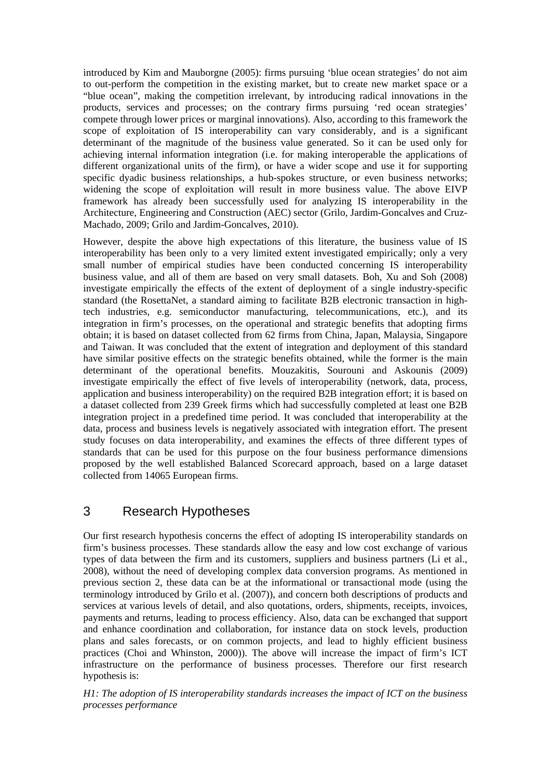introduced by Kim and Mauborgne (2005): firms pursuing 'blue ocean strategies' do not aim to out-perform the competition in the existing market, but to create new market space or a "blue ocean", making the competition irrelevant, by introducing radical innovations in the products, services and processes; on the contrary firms pursuing 'red ocean strategies' compete through lower prices or marginal innovations). Also, according to this framework the scope of exploitation of IS interoperability can vary considerably, and is a significant determinant of the magnitude of the business value generated. So it can be used only for achieving internal information integration (i.e. for making interoperable the applications of different organizational units of the firm), or have a wider scope and use it for supporting specific dyadic business relationships, a hub-spokes structure, or even business networks; widening the scope of exploitation will result in more business value. The above EIVP framework has already been successfully used for analyzing IS interoperability in the Architecture, Engineering and Construction (AEC) sector (Grilo, Jardim-Goncalves and Cruz-Machado, 2009; Grilo and Jardim-Goncalves, 2010).

However, despite the above high expectations of this literature, the business value of IS interoperability has been only to a very limited extent investigated empirically; only a very small number of empirical studies have been conducted concerning IS interoperability business value, and all of them are based on very small datasets. Boh, Xu and Soh (2008) investigate empirically the effects of the extent of deployment of a single industry-specific standard (the RosettaNet, a standard aiming to facilitate B2B electronic transaction in hightech industries, e.g. semiconductor manufacturing, telecommunications, etc.), and its integration in firm's processes, on the operational and strategic benefits that adopting firms obtain; it is based on dataset collected from 62 firms from China, Japan, Malaysia, Singapore and Taiwan. It was concluded that the extent of integration and deployment of this standard have similar positive effects on the strategic benefits obtained, while the former is the main determinant of the operational benefits. Mouzakitis, Sourouni and Askounis (2009) investigate empirically the effect of five levels of interoperability (network, data, process, application and business interoperability) on the required B2B integration effort; it is based on a dataset collected from 239 Greek firms which had successfully completed at least one B2B integration project in a predefined time period. It was concluded that interoperability at the data, process and business levels is negatively associated with integration effort. The present study focuses on data interoperability, and examines the effects of three different types of standards that can be used for this purpose on the four business performance dimensions proposed by the well established Balanced Scorecard approach, based on a large dataset collected from 14065 European firms.

### 3 Research Hypotheses

Our first research hypothesis concerns the effect of adopting IS interoperability standards on firm's business processes. These standards allow the easy and low cost exchange of various types of data between the firm and its customers, suppliers and business partners (Li et al., 2008), without the need of developing complex data conversion programs. As mentioned in previous section 2, these data can be at the informational or transactional mode (using the terminology introduced by Grilo et al. (2007)), and concern both descriptions of products and services at various levels of detail, and also quotations, orders, shipments, receipts, invoices, payments and returns, leading to process efficiency. Also, data can be exchanged that support and enhance coordination and collaboration, for instance data on stock levels, production plans and sales forecasts, or on common projects, and lead to highly efficient business practices (Choi and Whinston, 2000)). The above will increase the impact of firm's ICT infrastructure on the performance of business processes. Therefore our first research hypothesis is:

*H1: The adoption of IS interoperability standards increases the impact of ICT on the business processes performance*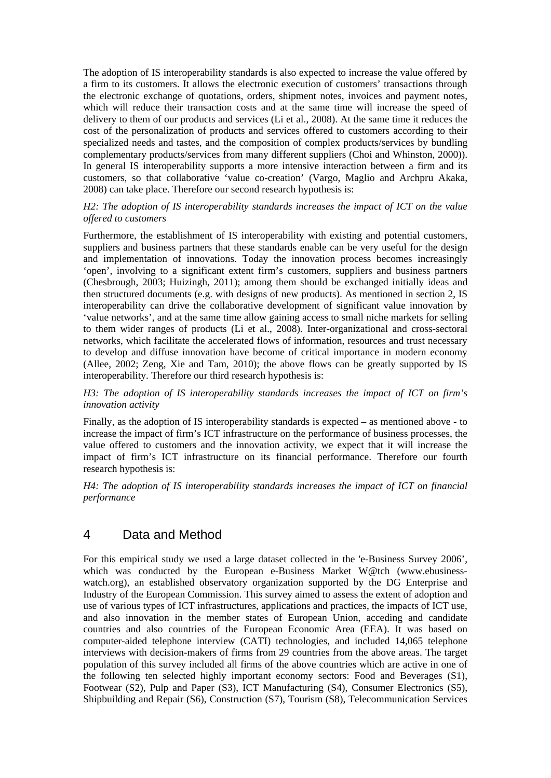The adoption of IS interoperability standards is also expected to increase the value offered by a firm to its customers. It allows the electronic execution of customers' transactions through the electronic exchange of quotations, orders, shipment notes, invoices and payment notes, which will reduce their transaction costs and at the same time will increase the speed of delivery to them of our products and services (Li et al., 2008). At the same time it reduces the cost of the personalization of products and services offered to customers according to their specialized needs and tastes, and the composition of complex products/services by bundling complementary products/services from many different suppliers (Choi and Whinston, 2000)). In general IS interoperability supports a more intensive interaction between a firm and its customers, so that collaborative 'value co-creation' (Vargo, Maglio and Archpru Akaka, 2008) can take place. Therefore our second research hypothesis is:

#### *H2: The adoption of IS interoperability standards increases the impact of ICT on the value offered to customers*

Furthermore, the establishment of IS interoperability with existing and potential customers, suppliers and business partners that these standards enable can be very useful for the design and implementation of innovations. Today the innovation process becomes increasingly 'open', involving to a significant extent firm's customers, suppliers and business partners (Chesbrough, 2003; Huizingh, 2011); among them should be exchanged initially ideas and then structured documents (e.g. with designs of new products). As mentioned in section 2, IS interoperability can drive the collaborative development of significant value innovation by 'value networks', and at the same time allow gaining access to small niche markets for selling to them wider ranges of products (Li et al., 2008). Inter-organizational and cross-sectoral networks, which facilitate the accelerated flows of information, resources and trust necessary to develop and diffuse innovation have become of critical importance in modern economy (Allee, 2002; Zeng, Xie and Tam, 2010); the above flows can be greatly supported by IS interoperability. Therefore our third research hypothesis is:

#### *H3: The adoption of IS interoperability standards increases the impact of ICT on firm's innovation activity*

Finally, as the adoption of IS interoperability standards is expected – as mentioned above - to increase the impact of firm's ICT infrastructure on the performance of business processes, the value offered to customers and the innovation activity, we expect that it will increase the impact of firm's ICT infrastructure on its financial performance. Therefore our fourth research hypothesis is:

*H4: The adoption of IS interoperability standards increases the impact of ICT on financial performance* 

### 4 Data and Method

For this empirical study we used a large dataset collected in the 'e-Business Survey 2006', which was conducted by the European e-Business Market W@tch ([www.ebusiness](http://www.ebusiness-watch.org/)[watch.org\)](http://www.ebusiness-watch.org/), an established observatory organization supported by the DG Enterprise and Industry of the European Commission. This survey aimed to assess the extent of adoption and use of various types of ICT infrastructures, applications and practices, the impacts of ICT use, and also innovation in the member states of European Union, acceding and candidate countries and also countries of the European Economic Area (EEA). It was based on computer-aided telephone interview (CATI) technologies, and included 14,065 telephone interviews with decision-makers of firms from 29 countries from the above areas. The target population of this survey included all firms of the above countries which are active in one of the following ten selected highly important economy sectors: Food and Beverages (S1), Footwear (S2), Pulp and Paper (S3), ICT Manufacturing (S4), Consumer Electronics (S5), Shipbuilding and Repair (S6), Construction (S7), Tourism (S8), Telecommunication Services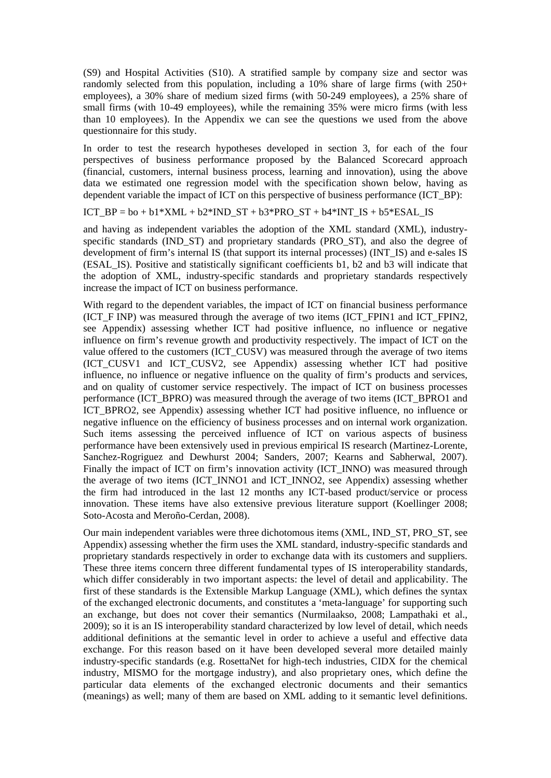(S9) and Hospital Activities (S10). A stratified sample by company size and sector was randomly selected from this population, including a 10% share of large firms (with 250+ employees), a 30% share of medium sized firms (with 50-249 employees), a 25% share of small firms (with 10-49 employees), while the remaining 35% were micro firms (with less than 10 employees). In the Appendix we can see the questions we used from the above questionnaire for this study.

In order to test the research hypotheses developed in section 3, for each of the four perspectives of business performance proposed by the Balanced Scorecard approach (financial, customers, internal business process, learning and innovation), using the above data we estimated one regression model with the specification shown below, having as dependent variable the impact of ICT on this perspective of business performance (ICT\_BP):

#### ICT\_BP = bo + b1\*XML + b2\*IND\_ST + b3\*PRO\_ST + b4\*INT\_IS + b5\*ESAL\_IS

and having as independent variables the adoption of the XML standard (XML), industryspecific standards (IND ST) and proprietary standards (PRO ST), and also the degree of development of firm's internal IS (that support its internal processes) (INT\_IS) and e-sales IS (ESAL\_IS). Positive and statistically significant coefficients b1, b2 and b3 will indicate that the adoption of XML, industry-specific standards and proprietary standards respectively increase the impact of ICT on business performance.

With regard to the dependent variables, the impact of ICT on financial business performance (ICT\_F INP) was measured through the average of two items (ICT\_FPIN1 and ICT\_FPIN2, see Appendix) assessing whether ICT had positive influence, no influence or negative influence on firm's revenue growth and productivity respectively. The impact of ICT on the value offered to the customers (ICT\_CUSV) was measured through the average of two items (ICT\_CUSV1 and ICT\_CUSV2, see Appendix) assessing whether ICT had positive influence, no influence or negative influence on the quality of firm's products and services, and on quality of customer service respectively. The impact of ICT on business processes performance (ICT\_BPRO) was measured through the average of two items (ICT\_BPRO1 and ICT BPRO2, see Appendix) assessing whether ICT had positive influence, no influence or negative influence on the efficiency of business processes and on internal work organization. Such items assessing the perceived influence of ICT on various aspects of business performance have been extensively used in previous empirical IS research (Martinez-Lorente, Sanchez-Rogriguez and Dewhurst 2004; Sanders, 2007; Kearns and Sabherwal, 2007). Finally the impact of ICT on firm's innovation activity (ICT\_INNO) was measured through the average of two items (ICT\_INNO1 and ICT\_INNO2, see Appendix) assessing whether the firm had introduced in the last 12 months any ICT-based product/service or process innovation. These items have also extensive previous literature support (Koellinger 2008; Soto-Acosta and Meroño-Cerdan, 2008).

Our main independent variables were three dichotomous items (XML, IND\_ST, PRO\_ST, see Appendix) assessing whether the firm uses the XML standard, industry-specific standards and proprietary standards respectively in order to exchange data with its customers and suppliers. These three items concern three different fundamental types of IS interoperability standards, which differ considerably in two important aspects: the level of detail and applicability. The first of these standards is the Extensible Markup Language (XML), which defines the syntax of the exchanged electronic documents, and constitutes a 'meta-language' for supporting such an exchange, but does not cover their semantics (Nurmilaakso, 2008; Lampathaki et al., 2009); so it is an IS interoperability standard characterized by low level of detail, which needs additional definitions at the semantic level in order to achieve a useful and effective data exchange. For this reason based on it have been developed several more detailed mainly industry-specific standards (e.g. RosettaNet for high-tech industries, CIDX for the chemical industry, MISMO for the mortgage industry), and also proprietary ones, which define the particular data elements of the exchanged electronic documents and their semantics (meanings) as well; many of them are based on XML adding to it semantic level definitions.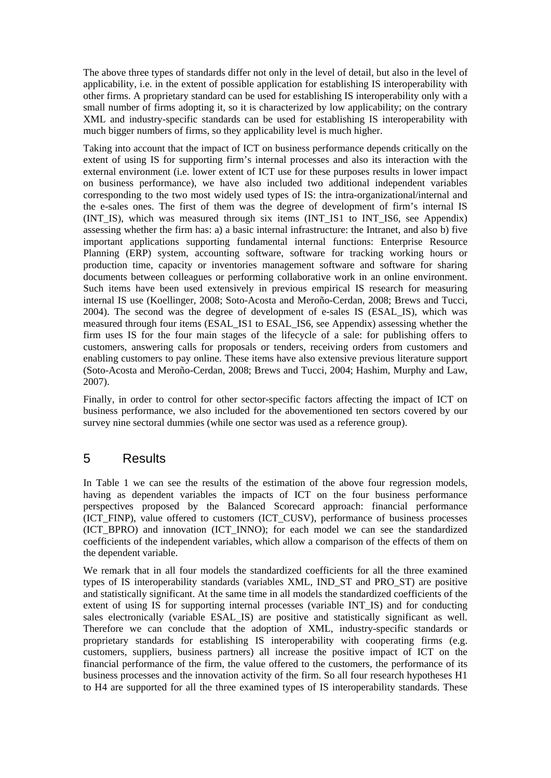The above three types of standards differ not only in the level of detail, but also in the level of applicability, i.e. in the extent of possible application for establishing IS interoperability with other firms. A proprietary standard can be used for establishing IS interoperability only with a small number of firms adopting it, so it is characterized by low applicability; on the contrary XML and industry-specific standards can be used for establishing IS interoperability with much bigger numbers of firms, so they applicability level is much higher.

Taking into account that the impact of ICT on business performance depends critically on the extent of using IS for supporting firm's internal processes and also its interaction with the external environment (i.e. lower extent of ICT use for these purposes results in lower impact on business performance), we have also included two additional independent variables corresponding to the two most widely used types of IS: the intra-organizational/internal and the e-sales ones. The first of them was the degree of development of firm's internal IS (INT\_IS), which was measured through six items (INT\_IS1 to INT\_IS6, see Appendix) assessing whether the firm has: a) a basic internal infrastructure: the Intranet, and also b) five important applications supporting fundamental internal functions: Enterprise Resource Planning (ERP) system, accounting software, software for tracking working hours or production time, capacity or inventories management software and software for sharing documents between colleagues or performing collaborative work in an online environment. Such items have been used extensively in previous empirical IS research for measuring internal IS use (Koellinger, 2008; Soto-Acosta and Meroño-Cerdan, 2008; Brews and Tucci, 2004). The second was the degree of development of e-sales IS (ESAL\_IS), which was measured through four items (ESAL\_IS1 to ESAL\_IS6, see Appendix) assessing whether the firm uses IS for the four main stages of the lifecycle of a sale: for publishing offers to customers, answering calls for proposals or tenders, receiving orders from customers and enabling customers to pay online. These items have also extensive previous literature support (Soto-Acosta and Meroño-Cerdan, 2008; Brews and Tucci, 2004; Hashim, Murphy and Law, 2007).

Finally, in order to control for other sector-specific factors affecting the impact of ICT on business performance, we also included for the abovementioned ten sectors covered by our survey nine sectoral dummies (while one sector was used as a reference group).

# 5 Results

In Table 1 we can see the results of the estimation of the above four regression models, having as dependent variables the impacts of ICT on the four business performance perspectives proposed by the Balanced Scorecard approach: financial performance (ICT\_FINP), value offered to customers (ICT\_CUSV), performance of business processes (ICT\_BPRO) and innovation (ICT\_INNO); for each model we can see the standardized coefficients of the independent variables, which allow a comparison of the effects of them on the dependent variable.

We remark that in all four models the standardized coefficients for all the three examined types of IS interoperability standards (variables XML, IND\_ST and PRO\_ST) are positive and statistically significant. At the same time in all models the standardized coefficients of the extent of using IS for supporting internal processes (variable INT\_IS) and for conducting sales electronically (variable ESAL\_IS) are positive and statistically significant as well. Therefore we can conclude that the adoption of XML, industry-specific standards or proprietary standards for establishing IS interoperability with cooperating firms (e.g. customers, suppliers, business partners) all increase the positive impact of ICT on the financial performance of the firm, the value offered to the customers, the performance of its business processes and the innovation activity of the firm. So all four research hypotheses H1 to H4 are supported for all the three examined types of IS interoperability standards. These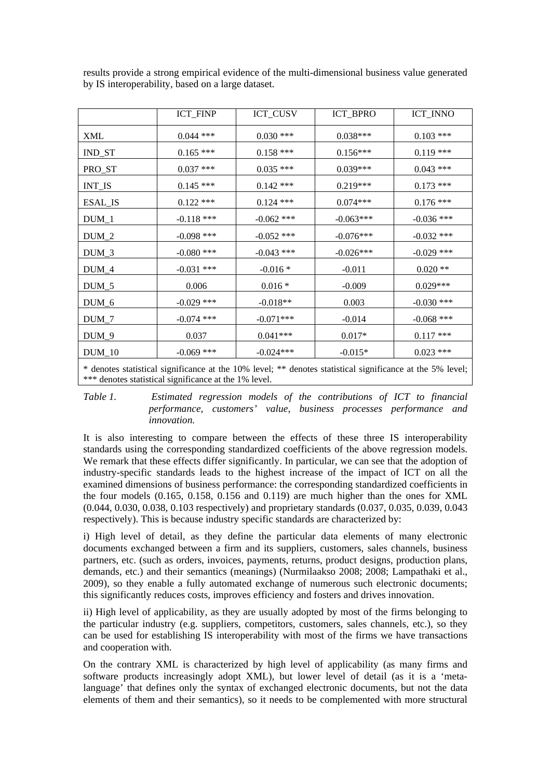|                                                                                                                                                                    | ICT_FINP     | ICT_CUSV     | ICT_BPRO    | ICT_INNO     |
|--------------------------------------------------------------------------------------------------------------------------------------------------------------------|--------------|--------------|-------------|--------------|
| XML                                                                                                                                                                | $0.044$ ***  | $0.030$ ***  | $0.038***$  | $0.103$ ***  |
| IND_ST                                                                                                                                                             | $0.165***$   | $0.158$ ***  | $0.156***$  | $0.119$ ***  |
| PRO_ST                                                                                                                                                             | $0.037$ ***  | $0.035$ ***  | $0.039***$  | $0.043$ ***  |
| <b>INT_IS</b>                                                                                                                                                      | $0.145***$   | $0.142$ ***  | $0.219***$  | $0.173$ ***  |
| ESAL_IS                                                                                                                                                            | $0.122$ ***  | $0.124$ ***  | $0.074***$  | $0.176$ ***  |
| $DUM_1$                                                                                                                                                            | $-0.118$ *** | $-0.062$ *** | $-0.063***$ | $-0.036$ *** |
| $DUM_2$                                                                                                                                                            | $-0.098$ *** | $-0.052$ *** | $-0.076***$ | $-0.032$ *** |
| $DUM_3$                                                                                                                                                            | $-0.080$ *** | $-0.043$ *** | $-0.026***$ | $-0.029$ *** |
| $DUM_4$                                                                                                                                                            | $-0.031$ *** | $-0.016*$    | $-0.011$    | $0.020**$    |
| $DUM_5$                                                                                                                                                            | 0.006        | $0.016 *$    | $-0.009$    | $0.029***$   |
| DUM_6                                                                                                                                                              | $-0.029$ *** | $-0.018**$   | 0.003       | $-0.030$ *** |
| $DUM_7$                                                                                                                                                            | $-0.074$ *** | $-0.071***$  | $-0.014$    | $-0.068$ *** |
| $DUM_9$                                                                                                                                                            | 0.037        | $0.041***$   | $0.017*$    | $0.117$ ***  |
| $DUM_10$                                                                                                                                                           | $-0.069$ *** | $-0.024***$  | $-0.015*$   | $0.023$ ***  |
| * denotes statistical significance at the 10% level; ** denotes statistical significance at the 5% level;<br>*** denotes statistical significance at the 1% level. |              |              |             |              |

results provide a strong empirical evidence of the multi-dimensional business value generated by IS interoperability, based on a large dataset.

*Table 1. Estimated regression models of the contributions of ICT to financial performance, customers' value, business processes performance and innovation.* 

It is also interesting to compare between the effects of these three IS interoperability standards using the corresponding standardized coefficients of the above regression models. We remark that these effects differ significantly. In particular, we can see that the adoption of industry-specific standards leads to the highest increase of the impact of ICT on all the examined dimensions of business performance: the corresponding standardized coefficients in the four models (0.165, 0.158, 0.156 and 0.119) are much higher than the ones for XML (0.044, 0.030, 0.038, 0.103 respectively) and proprietary standards (0.037, 0.035, 0.039, 0.043 respectively). This is because industry specific standards are characterized by:

i) High level of detail, as they define the particular data elements of many electronic documents exchanged between a firm and its suppliers, customers, sales channels, business partners, etc. (such as orders, invoices, payments, returns, product designs, production plans, demands, etc.) and their semantics (meanings) (Nurmilaakso 2008; 2008; Lampathaki et al., 2009), so they enable a fully automated exchange of numerous such electronic documents; this significantly reduces costs, improves efficiency and fosters and drives innovation.

ii) High level of applicability, as they are usually adopted by most of the firms belonging to the particular industry (e.g. suppliers, competitors, customers, sales channels, etc.), so they can be used for establishing IS interoperability with most of the firms we have transactions and cooperation with.

On the contrary XML is characterized by high level of applicability (as many firms and software products increasingly adopt XML), but lower level of detail (as it is a 'metalanguage' that defines only the syntax of exchanged electronic documents, but not the data elements of them and their semantics), so it needs to be complemented with more structural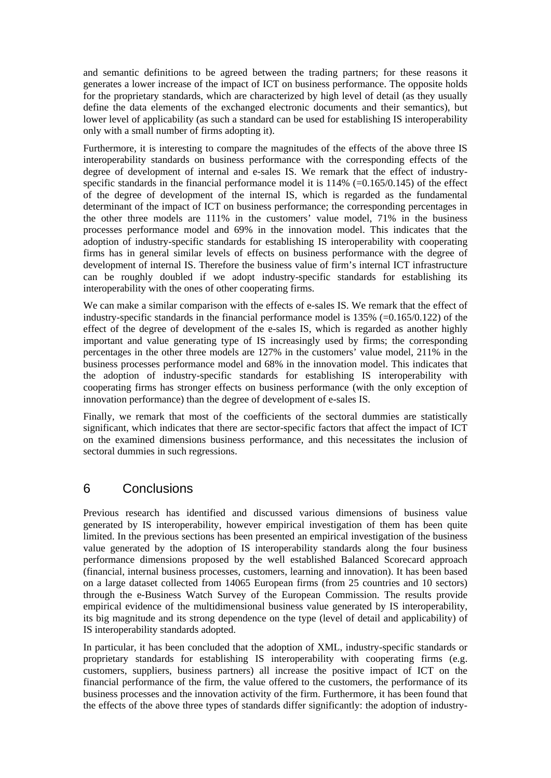and semantic definitions to be agreed between the trading partners; for these reasons it generates a lower increase of the impact of ICT on business performance. The opposite holds for the proprietary standards, which are characterized by high level of detail (as they usually define the data elements of the exchanged electronic documents and their semantics), but lower level of applicability (as such a standard can be used for establishing IS interoperability only with a small number of firms adopting it).

Furthermore, it is interesting to compare the magnitudes of the effects of the above three IS interoperability standards on business performance with the corresponding effects of the degree of development of internal and e-sales IS. We remark that the effect of industryspecific standards in the financial performance model it is  $114\%$  (=0.165/0.145) of the effect of the degree of development of the internal IS, which is regarded as the fundamental determinant of the impact of ICT on business performance; the corresponding percentages in the other three models are 111% in the customers' value model, 71% in the business processes performance model and 69% in the innovation model. This indicates that the adoption of industry-specific standards for establishing IS interoperability with cooperating firms has in general similar levels of effects on business performance with the degree of development of internal IS. Therefore the business value of firm's internal ICT infrastructure can be roughly doubled if we adopt industry-specific standards for establishing its interoperability with the ones of other cooperating firms.

We can make a similar comparison with the effects of e-sales IS. We remark that the effect of industry-specific standards in the financial performance model is 135% (=0.165/0.122) of the effect of the degree of development of the e-sales IS, which is regarded as another highly important and value generating type of IS increasingly used by firms; the corresponding percentages in the other three models are 127% in the customers' value model, 211% in the business processes performance model and 68% in the innovation model. This indicates that the adoption of industry-specific standards for establishing IS interoperability with cooperating firms has stronger effects on business performance (with the only exception of innovation performance) than the degree of development of e-sales IS.

Finally, we remark that most of the coefficients of the sectoral dummies are statistically significant, which indicates that there are sector-specific factors that affect the impact of ICT on the examined dimensions business performance, and this necessitates the inclusion of sectoral dummies in such regressions.

### 6 Conclusions

Previous research has identified and discussed various dimensions of business value generated by IS interoperability, however empirical investigation of them has been quite limited. In the previous sections has been presented an empirical investigation of the business value generated by the adoption of IS interoperability standards along the four business performance dimensions proposed by the well established Balanced Scorecard approach (financial, internal business processes, customers, learning and innovation). It has been based on a large dataset collected from 14065 European firms (from 25 countries and 10 sectors) through the e-Business Watch Survey of the European Commission. The results provide empirical evidence of the multidimensional business value generated by IS interoperability, its big magnitude and its strong dependence on the type (level of detail and applicability) of IS interoperability standards adopted.

In particular, it has been concluded that the adoption of XML, industry-specific standards or proprietary standards for establishing IS interoperability with cooperating firms (e.g. customers, suppliers, business partners) all increase the positive impact of ICT on the financial performance of the firm, the value offered to the customers, the performance of its business processes and the innovation activity of the firm. Furthermore, it has been found that the effects of the above three types of standards differ significantly: the adoption of industry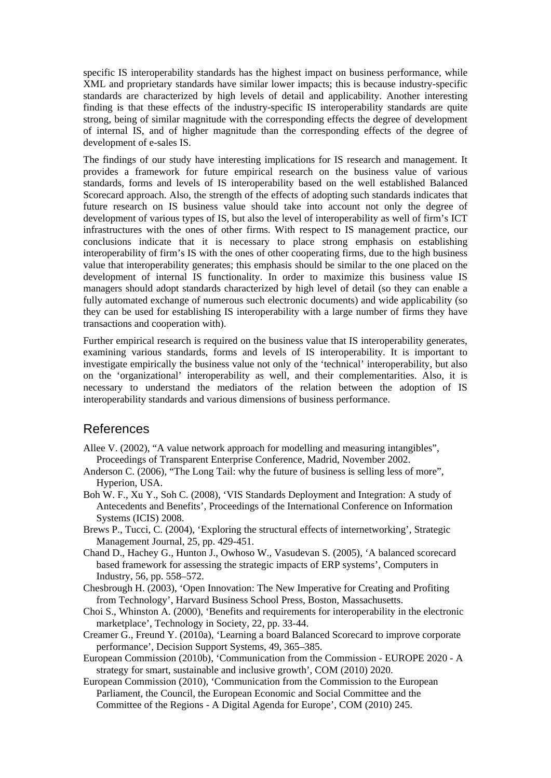specific IS interoperability standards has the highest impact on business performance, while XML and proprietary standards have similar lower impacts; this is because industry-specific standards are characterized by high levels of detail and applicability. Another interesting finding is that these effects of the industry-specific IS interoperability standards are quite strong, being of similar magnitude with the corresponding effects the degree of development of internal IS, and of higher magnitude than the corresponding effects of the degree of development of e-sales IS.

The findings of our study have interesting implications for IS research and management. It provides a framework for future empirical research on the business value of various standards, forms and levels of IS interoperability based on the well established Balanced Scorecard approach. Also, the strength of the effects of adopting such standards indicates that future research on IS business value should take into account not only the degree of development of various types of IS, but also the level of interoperability as well of firm's ICT infrastructures with the ones of other firms. With respect to IS management practice, our conclusions indicate that it is necessary to place strong emphasis on establishing interoperability of firm's IS with the ones of other cooperating firms, due to the high business value that interoperability generates; this emphasis should be similar to the one placed on the development of internal IS functionality. In order to maximize this business value IS managers should adopt standards characterized by high level of detail (so they can enable a fully automated exchange of numerous such electronic documents) and wide applicability (so they can be used for establishing IS interoperability with a large number of firms they have transactions and cooperation with).

Further empirical research is required on the business value that IS interoperability generates, examining various standards, forms and levels of IS interoperability. It is important to investigate empirically the business value not only of the 'technical' interoperability, but also on the 'organizational' interoperability as well, and their complementarities. Also, it is necessary to understand the mediators of the relation between the adoption of IS interoperability standards and various dimensions of business performance.

#### References

- Allee V. (2002), "A value network approach for modelling and measuring intangibles", Proceedings of Transparent Enterprise Conference, Madrid, November 2002.
- Anderson C. (2006), "The Long Tail: why the future of business is selling less of more". Hyperion, USA.
- Boh W. F., Xu Y., Soh C. (2008), 'VIS Standards Deployment and Integration: A study of Antecedents and Benefits', Proceedings of the International Conference on Information Systems (ICIS) 2008.
- Brews P., Tucci, C. (2004), 'Exploring the structural effects of internetworking', Strategic Management Journal, 25, pp. 429-451.
- Chand D., Hachey G., Hunton J., Owhoso W., Vasudevan S. (2005), 'A balanced scorecard based framework for assessing the strategic impacts of ERP systems', Computers in Industry, 56, pp. 558–572.
- Chesbrough H. (2003), 'Open Innovation: The New Imperative for Creating and Profiting from Technology', Harvard Business School Press, Boston, Massachusetts.
- Choi S., Whinston A. (2000), 'Benefits and requirements for interoperability in the electronic marketplace', Technology in Society, 22, pp. 33-44.
- Creamer G., Freund Y. (2010a), 'Learning a board Balanced Scorecard to improve corporate performance', Decision Support Systems, 49, 365–385.
- European Commission (2010b), 'Communication from the Commission EUROPE 2020 A strategy for smart, sustainable and inclusive growth', COM (2010) 2020.
- European Commission (2010), 'Communication from the Commission to the European Parliament, the Council, the European Economic and Social Committee and the Committee of the Regions - A Digital Agenda for Europe', COM (2010) 245.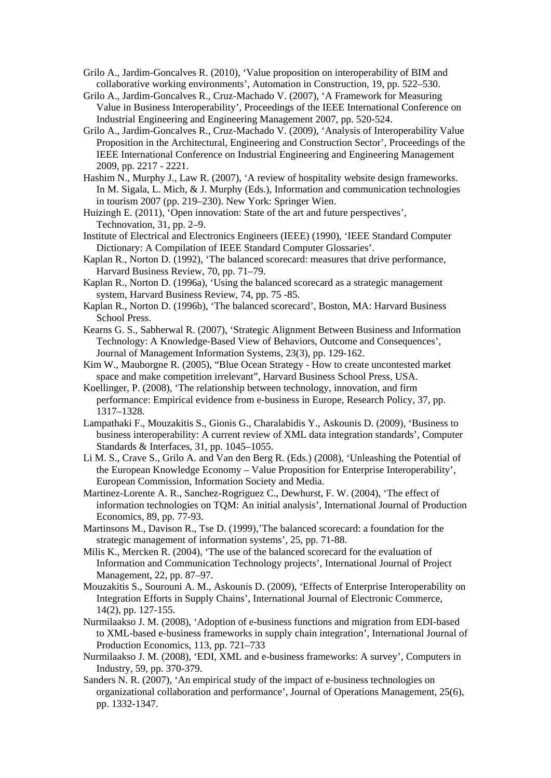- Grilo A., Jardim-Goncalves R. (2010), 'Value proposition on interoperability of BIM and collaborative working environments', Automation in Construction, 19, pp. 522–530.
- Grilo A., Jardim-Goncalves R., Cruz-Machado V. (2007), 'A Framework for Measuring Value in Business Interoperability', Proceedings of the IEEE International Conference on Industrial Engineering and Engineering Management 2007, pp. 520-524.
- Grilo A., Jardim-Goncalves R., Cruz-Machado V. (2009), 'Analysis of Interoperability Value Proposition in the Architectural, Engineering and Construction Sector', Proceedings of the IEEE International Conference on Industrial Engineering and Engineering Management 2009, pp. 2217 - 2221.
- Hashim N., Murphy J., Law R. (2007), 'A review of hospitality website design frameworks. In M. Sigala, L. Mich, & J. Murphy (Eds.), Information and communication technologies in tourism 2007 (pp. 219–230). New York: Springer Wien.
- Huizingh E. (2011), 'Open innovation: State of the art and future perspectives', Technovation, 31, pp. 2–9.
- Institute of Electrical and Electronics Engineers (IEEE) (1990), 'IEEE Standard Computer Dictionary: A Compilation of IEEE Standard Computer Glossaries'.
- Kaplan R., Norton D. (1992), 'The balanced scorecard: measures that drive performance, Harvard Business Review, 70, pp. 71–79.
- Kaplan R., Norton D. (1996a), 'Using the balanced scorecard as a strategic management system, Harvard Business Review, 74, pp. 75 -85.
- Kaplan R., Norton D. (1996b), 'The balanced scorecard', Boston, MA: Harvard Business School Press.
- Kearns G. S., Sabherwal R. (2007), 'Strategic Alignment Between Business and Information Technology: A Knowledge-Based View of Behaviors, Outcome and Consequences', Journal of Management Information Systems, 23(3), pp. 129-162.
- Kim W., Mauborgne R. (2005), "Blue Ocean Strategy How to create uncontested market space and make competition irrelevant", Harvard Business School Press, USA.
- Koellinger, P. (2008), 'The relationship between technology, innovation, and firm performance: Empirical evidence from e-business in Europe, Research Policy, 37, pp. 1317–1328.
- Lampathaki F., Mouzakitis S., Gionis G., Charalabidis Y., Askounis D. (2009), 'Business to business interoperability: A current review of XML data integration standards', Computer Standards & Interfaces, 31, pp. 1045–1055.
- Li M. S., Crave S., Grilo A. and Van den Berg R. (Eds.) (2008), 'Unleashing the Potential of the European Knowledge Economy – Value Proposition for Enterprise Interoperability', European Commission, Information Society and Media.
- Martinez-Lorente A. R., Sanchez-Rogriguez C., Dewhurst, F. W. (2004), 'The effect of information technologies on TQM: An initial analysis', International Journal of Production Economics, 89, pp. 77-93.
- Martinsons M., Davison R., Tse D. (1999),'The balanced scorecard: a foundation for the strategic management of information systems', 25, pp. 71-88.
- Milis K., Mercken R. (2004), 'The use of the balanced scorecard for the evaluation of Information and Communication Technology projects', International Journal of Project Management, 22, pp. 87–97.
- Mouzakitis S., Sourouni A. M., Askounis D. (2009), 'Effects of Enterprise Interoperability on Integration Efforts in Supply Chains', International Journal of Electronic Commerce, 14(2), pp. 127-155.
- Nurmilaakso J. M. (2008), 'Adoption of e-business functions and migration from EDI-based to XML-based e-business frameworks in supply chain integration', International Journal of Production Economics, 113, pp. 721–733
- Nurmilaakso J. M. (2008), 'EDI, XML and e-business frameworks: A survey', Computers in Industry, 59, pp. 370-379.
- Sanders N. R. (2007), 'An empirical study of the impact of e-business technologies on organizational collaboration and performance', Journal of Operations Management, 25(6), pp. 1332-1347.